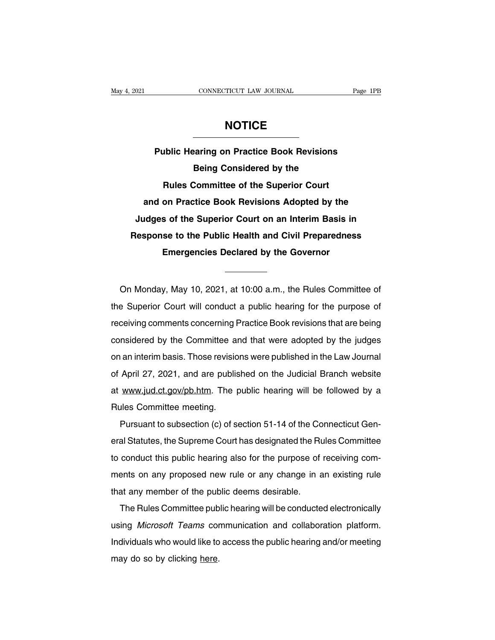## **NOTICE**

**Page 1PB**<br> **Public Hearing on Practice Book Revisions<br>
Being Considered by the BEFORMANDICE**<br> **Being Considered by the<br>
Being Considered by the<br>
Committee of the Superior Court RULE<br>
Rules Committee of the Superior Court**<br>
Rules Committee of the Superior Court<br>
on Practice Book Revisions Adopted by the **Public Hearing on Practice Book Revisions<br>
Being Considered by the<br>
Rules Committee of the Superior Court<br>
and on Practice Book Revisions Adopted by the<br>
udges of the Superior Court on an Interim Basis in Judite Trading on Tradince Book Revisions**<br> **Judges Committee of the Superior Court**<br> **Superior Court**<br> **Judges of the Superior Court on an Interim Basis in**<br> **Judges of the Superior Court on an Interim Basis in**<br> **Judges Rules Committee of the Superior Court**<br>and on Practice Book Revisions Adopted by the<br>Judges of the Superior Court on an Interim Basis in<br>Response to the Public Health and Civil Preparedness<br>Emergencies Declared by the Gov **Example 3 Rules Committee of the Superior Court**<br>and on Practice Book Revisions Adopted by the<br>Judges of the Superior Court on an Interim Basis in<br>Response to the Public Health and Civil Preparedness<br>Emergencies Declared Response to the Public Health and Civil Preparedness<br>
Emergencies Declared by the Governor<br>
On Monday, May 10, 2021, at 10:00 a.m., the Rules Committee of<br>
Esperior Court will conduct a public hearing for the purpose of

Emergencies Declared by the Governor<br>
On Monday, May 10, 2021, at 10:00 a.m., the Rules Committee of<br>
the Superior Court will conduct a public hearing for the purpose of<br>
receiving comments concerning Practice Book revisio On Monday, May 10, 2021, at 10:00 a.m., the Rules Committee of<br>the Superior Court will conduct a public hearing for the purpose of<br>receiving comments concerning Practice Book revisions that are being<br>considered by the Comm On Monday, May 10, 2021, at 10:00 a.m., the Rules Committee of<br>the Superior Court will conduct a public hearing for the purpose of<br>receiving comments concerning Practice Book revisions that are being<br>considered by the Comm on monday, may 10, 2021, at 10.00 a.m., the Transs Sommittee of<br>the Superior Court will conduct a public hearing for the purpose of<br>receiving comments concerning Practice Book revisions that are being<br>considered by the Com receiving comments concerning Practice Book revisions that are being<br>considered by the Committee and that were adopted by the judges<br>on an interim basis. Those revisions were published in the Law Journal<br>of April 27, 2021, considered by the Committee and that were adopted by the judges<br>on an interim basis. Those revisions were published in the Law Journal<br>of April 27, 2021, and are published on the Judicial Branch website<br>at www.jud.ct.gov/p on an interim basis. Those revisio<br>of April 27, 2021, and are publis<br>at www.jud.ct.gov/pb.htm. The p<br>Rules Committee meeting.<br>Pursuant to subsection (c) of s April 27, 2021, and are published on the Judicial Branch website<br>www.jud.ct.gov/pb.htm. The public hearing will be followed by a<br>les Committee meeting.<br>Pursuant to subsection (c) of section 51-14 of the Connecticut Gen-<br>al

eral Statutes, the Supreme Court has designated the Supreme Collowed by a<br>Rules Committee meeting.<br>Pursuant to subsection (c) of section 51-14 of the Connecticut Gen-<br>eral Statutes, the Supreme Court has designated the Rul The public hearing will be followed by a<br>Transmittee meeting.<br>Pursuant to subsection (c) of section 51-14 of the Connecticut Gen-<br>eral Statutes, the Supreme Court has designated the Rules Committee<br>to conduct this public h Pursuant to subsection (c) of section 51-14 of the Connecticut General Statutes, the Supreme Court has designated the Rules Committee to conduct this public hearing also for the purpose of receiving comments on any propose Fusional Resolution (b) of Scenari ST 14 of the ederal Statutes, the Supreme Court has designated the Ru to conduct this public hearing also for the purpose of ments on any proposed new rule or any change in a that any mem an dialectic, the deptent documate adaptated the ridies dominated<br>conduct this public hearing also for the purpose of receiving com-<br>ents on any proposed new rule or any change in an existing rule<br>at any member of the publ

using and the public many change in an existing rule<br>that any member of the public deems desirable.<br>The Rules Committee public hearing will be conducted electronically<br>using *Microsoft Teams* communication and collaboratio Individualswho would like to access the public hearing and/or meeting<br>Individuals who would like to access the public hearing and/or meeting<br>may do so by clicking here. The Rules Committee pub<br>using *Microsoft Teams* cor<br>Individuals who would like to<br>may do so by clicking <u>here</u>.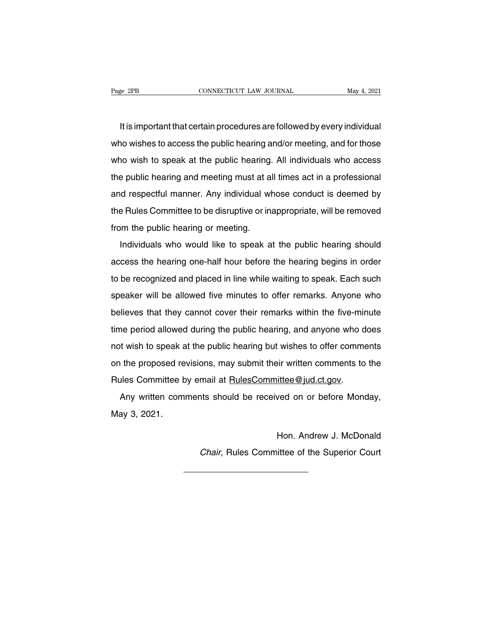It is important that certain procedures are followed by every individual<br>It is important that certain procedures are followed by every individual<br>In wishes to access the public hearing and/or meeting, and for those Page 2PB CONNECTICUT LAW JOURNAL May 4, 2021<br>It is important that certain procedures are followed by every individual<br>who wishes to access the public hearing and/or meeting, and for those<br>who wish to speak at the public he It is important that certain procedures are followed by every individual<br>who wishes to access the public hearing and/or meeting, and for those<br>who wish to speak at the public hearing. All individuals who access<br>the public It is important that certain procedures are followed by every individual<br>who wishes to access the public hearing and/or meeting, and for those<br>who wish to speak at the public hearing. All individuals who access<br>the public and who wishes to access the public hearing and/or meeting, and for those<br>who wish to speak at the public hearing. All individuals who access<br>the public hearing and meeting must at all times act in a professional<br>and respe who wish to speak at the public hearing. All individuals who access<br>the public hearing and meeting must at all times act in a professional<br>and respectful manner. Any individual whose conduct is deemed by<br>the Rules Committe who wish to speak at the public hearing. All individuals who access<br>the public hearing and meeting must at all times act in a professional<br>and respectful manner. Any individual whose conduct is deemed by<br>the Rules Committe Individuals who would like to speak at the public hearing should<br>a respectful manner. Any individual whose conduct is deemed by<br>the Public hearing or meeting.<br>Individuals who would like to speak at the public hearing shoul

the Rules Committee to be disruptive or inappropriate, will be removed<br>from the public hearing or meeting.<br>Individuals who would like to speak at the public hearing should<br>access the hearing one-half hour before the hearin from the public hearing or meeting.<br>Individuals who would like to speak at the public hearing should<br>access the hearing one-half hour before the hearing begins in order<br>to be recognized and placed in line while waiting to Individuals who would like to speak at the public hearing should<br>access the hearing one-half hour before the hearing begins in order<br>to be recognized and placed in line while waiting to speak. Each such<br>speaker will be all harmadals who would like to opeak at the pashe hearing should<br>access the hearing one-half hour before the hearing begins in order<br>to be recognized and placed in line while waiting to speak. Each such<br>speaker will be allowe to be recognized and placed in line while waiting to speak. Each such<br>speaker will be allowed five minutes to offer remarks. Anyone who<br>believes that they cannot cover their remarks within the five-minute<br>time period allow speaker will be allowed five minutes to offer remarks. Anyone who<br>believes that they cannot cover their remarks within the five-minute<br>time period allowed during the public hearing, and anyone who does<br>not wish to speak at believes that they cannot cover their remarks within the five-minute<br>time period allowed during the public hearing, and anyone who does<br>not wish to speak at the public hearing but wishes to offer comments<br>on the proposed r Rules Committee by earnier cover and a remained whall are two run<br>time period allowed during the public hearing, and anyone who d<br>not wish to speak at the public hearing but wishes to offer comme<br>on the proposed revisions, t wish to speak at the public hearing but wishes to offer comments<br>the proposed revisions, may submit their written comments to the<br>alles Committee by email at <u>RulesCommittee@jud.ct.gov</u>.<br>Any written comments should be re not won to opeak a<br>on the proposed re<br>Rules Committee b<br>Any written com<br>May 3, 2021.

ittee@jud.ct.gov.<br>ved on or before Monday,<br>Hon. Andrew J. McDonald<br>ittee of the Superior Court Any written comments should be received on or before Monday,<br>ay 3, 2021.<br>Hon. Andrew J. McDonald<br>Chair, Rules Committee of the Superior Court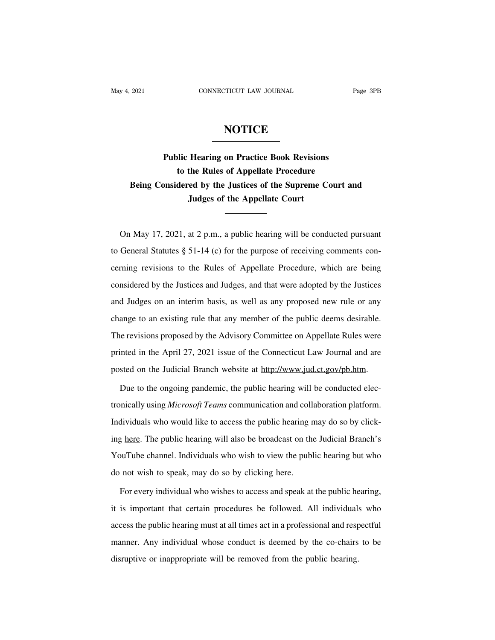## **NOTICE**

**Public Hearing on Practice Book Revisions**<br> **Public Hearing on Practice Book Revisions**<br>
to the Rules of Appellate Procedure **the Rules of Appellate Procedure**<br>**to the Rules of Appellate Procedure**<br>**dered by the Justices of the Supreme Court a Ref**<br>**Ref**<br>**Being Considered by the Justices of the Supreme Court and<br>Judges of the Appellate Court<br><b>Being Considered by the Justices of the Supreme Court and Hearing on Practice Book Revisions**<br>the Rules of Appellate Procedure<br>red by the Justices of the Supreme Co<br>Judges of the Appellate Court to the Rules of Appellate Procedure<br>Being Considered by the Justices of the Supreme Court and<br>Judges of the Appellate Court<br>On May 17, 2021, at 2 p.m., a public hearing will be conducted pursuant<br>General Statutes § 51-14

Judges of the Appellate Court<br>
Tudges of the Appellate Court<br>
Court<br>
Con May 17, 2021, at 2 p.m., a public hearing will be conducted pursuant<br>
to General Statutes § 51-14 (c) for the purpose of receiving comments con-<br>
cer On May 17, 2021, at 2 p.m., a public hearing will be conducted pursuant<br>to General Statutes § 51-14 (c) for the purpose of receiving comments con-<br>cerning revisions to the Rules of Appellate Procedure, which are being<br>cons On May 17, 2021, at 2 p.m., a public hearing will be conducted pursuant<br>to General Statutes § 51-14 (c) for the purpose of receiving comments con-<br>cerning revisions to the Rules of Appellate Procedure, which are being<br>cons to General Statutes § 51-14 (c) for the purpose of receiving comments concerning revisions to the Rules of Appellate Procedure, which are being considered by the Justices and Judges, and that were adopted by the Justices a cerning revisions to the Rules of Appellate Procedure, which are being<br>considered by the Justices and Judges, and that were adopted by the Justices<br>and Judges on an interim basis, as well as any proposed new rule or any<br>ch considered by the Justices and Judges, and that were adopted by the Justices<br>and Judges on an interim basis, as well as any proposed new rule or any<br>change to an existing rule that any member of the public deems desirable. and Judges on an interim basis, as well as any proposed new rule or any<br>change to an existing rule that any member of the public deems desirable.<br>The revisions proposed by the Advisory Committee on Appellate Rules were<br>pri change to an existing rule that any member of the public deems desirable.<br>The revisions proposed by the Advisory Committee on Appellate Rules were<br>printed in the April 27, 2021 issue of the Connecticut Law Journal and are<br> inted in the April 27, 2021 issue of the Connecticut Law Journal and are<br>sted on the Judicial Branch website at http://www.jud.ct.gov/pb.htm.<br>Due to the ongoing pandemic, the public hearing will be conducted elec-<br>nically

printed in the April 27, 2021 issue of the Connecticut Law Journal and are<br>posted on the Judicial Branch website at <u>http://www.jud.ct.gov/pb.htm</u>.<br>Due to the ongoing pandemic, the public hearing will be conducted elec-<br>tr posted on the Judicial Branch website at http://www.jud.ct.gov/pb.htm.<br>Due to the ongoing pandemic, the public hearing will be conducted elec-<br>tronically using *Microsoft Teams* communication and collaboration platform.<br>In Due to the ongoing pandemic, the public hearing will be conducted electronically using *Microsoft Teams* communication and collaboration platform.<br>Individuals who would like to access the public hearing may do so by clicki tronicallyusing *Microsoft Teams* communication and collaboration platform.<br>Individuals who would like to access the public hearing may do so by click-<br>ing <u>here</u>. The public hearing will also be broadcast on the Judicial Individuals who would like to access the public hearing r<br>ing <u>here</u>. The public hearing will also be broadcast on the<br>YouTube channel. Individuals who wish to view the publ<br>do not wish to speak, may do so by clicking <u>her</u> If the public hearing will also be broadcast on the Judicial Branch's<br>buTube channel. Individuals who wish to view the public hearing but who<br>not wish to speak, may do so by clicking <u>here</u>.<br>For every individual who wishes

YouTube channel. Individuals who wish to view the public hearing but who<br>do not wish to speak, may do so by clicking <u>here</u>.<br>For every individual who wishes to access and speak at the public hearing,<br>it is important that c do not wish to speak, may do so by clicking here.<br>For every individual who wishes to access and speak at the public hearing,<br>it is important that certain procedures be followed. All individuals who<br>access the public hearin For every individual who wishes to access and speak at the public hearing,<br>it is important that certain procedures be followed. All individuals who<br>access the public hearing must at all times act in a professional and resp it is important that certain procedures be followed. All individuals<br>access the public hearing must at all times act in a professional and resp<br>manner. Any individual whose conduct is deemed by the co-chairs<br>disruptive or